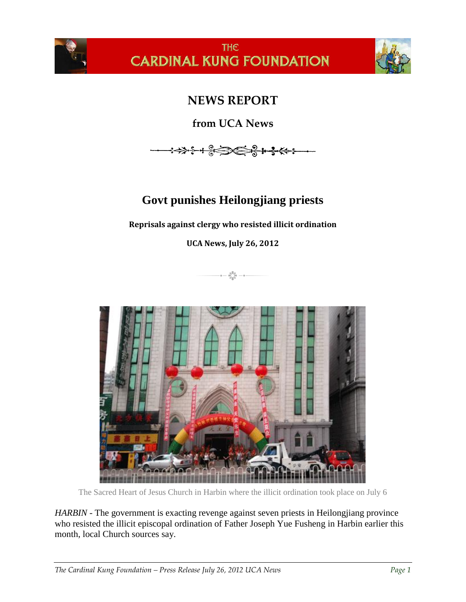

## **THE CARDINAL KUNG FOUNDATION**



## **NEWS REPORT**

**from UCA News**



## **Govt punishes Heilongjiang priests**

**Reprisals against clergy who resisted illicit ordination**

**UCA News, July 26, 2012**





The Sacred Heart of Jesus Church in Harbin where the illicit ordination took place on July 6

*HARBIN* - The government is exacting revenge against seven priests in Heilongjiang province who resisted the illicit episcopal ordination of Father Joseph Yue Fusheng in Harbin earlier this month, local Church sources say.